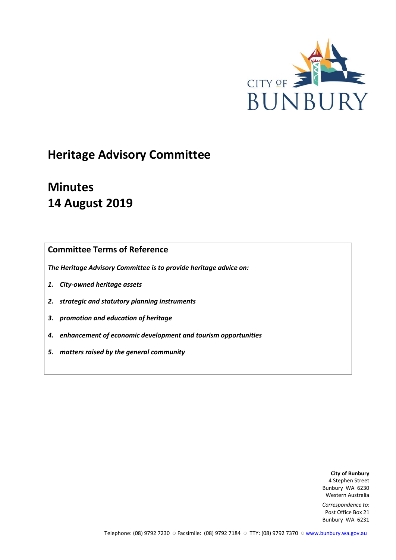

# **Heritage Advisory Committee**

# **Minutes 14 August 2019**

## **Committee Terms of Reference**

*The Heritage Advisory Committee is to provide heritage advice on:*

- *1. City-owned heritage assets*
- *2. strategic and statutory planning instruments*
- *3. promotion and education of heritage*
- *4. enhancement of economic development and tourism opportunities*
- *5. matters raised by the general community*

**City of Bunbury** 4 Stephen Street Bunbury WA 6230 Western Australia

*Correspondence to:* Post Office Box 21 Bunbury WA 6231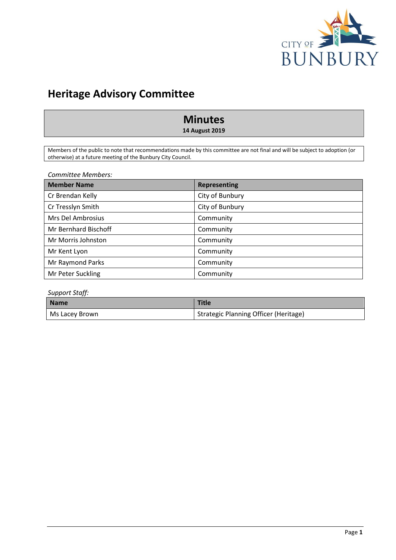

## **Heritage Advisory Committee**

## **Minutes**

**14 August 2019**

Members of the public to note that recommendations made by this committee are not final and will be subject to adoption (or otherwise) at a future meeting of the Bunbury City Council.

*Committee Members:*

| <b>Member Name</b>   | <b>Representing</b> |
|----------------------|---------------------|
| Cr Brendan Kelly     | City of Bunbury     |
| Cr Tresslyn Smith    | City of Bunbury     |
| Mrs Del Ambrosius    | Community           |
| Mr Bernhard Bischoff | Community           |
| Mr Morris Johnston   | Community           |
| Mr Kent Lyon         | Community           |
| Mr Raymond Parks     | Community           |
| Mr Peter Suckling    | Community           |

#### *Support Staff:*

| <b>Name</b>    | <b>Title</b>                          |  |  |
|----------------|---------------------------------------|--|--|
| Ms Lacey Brown | Strategic Planning Officer (Heritage) |  |  |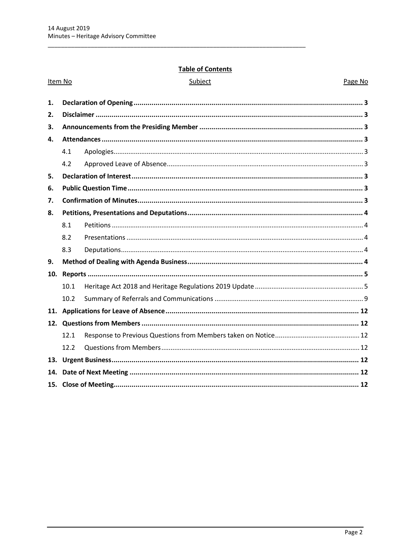## **Table of Contents**

| Item No |      | Subject | Page No |
|---------|------|---------|---------|
| 1.      |      |         |         |
| 2.      |      |         |         |
| 3.      |      |         |         |
| 4.      |      |         |         |
|         | 4.1  |         |         |
|         | 4.2  |         |         |
| 5.      |      |         |         |
| 6.      |      |         |         |
| 7.      |      |         |         |
| 8.      |      |         |         |
|         | 8.1  |         |         |
|         | 8.2  |         |         |
|         | 8.3  |         |         |
| 9.      |      |         |         |
| 10.     |      |         |         |
|         | 10.1 |         |         |
|         | 10.2 |         |         |
| 11.     |      |         |         |
|         |      |         |         |
|         | 12.1 |         |         |
|         | 12.2 |         |         |
| 13.     |      |         |         |
| 14.     |      |         |         |
|         |      |         |         |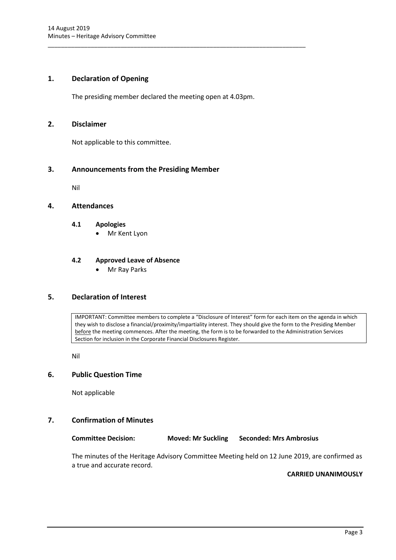#### <span id="page-3-0"></span>**1. Declaration of Opening**

The presiding member declared the meeting open at 4.03pm.

\_\_\_\_\_\_\_\_\_\_\_\_\_\_\_\_\_\_\_\_\_\_\_\_\_\_\_\_\_\_\_\_\_\_\_\_\_\_\_\_\_\_\_\_\_\_\_\_\_\_\_\_\_\_\_\_\_\_\_\_\_\_\_\_\_\_\_\_\_\_\_\_\_\_\_\_\_\_

#### <span id="page-3-1"></span>**2. Disclaimer**

Not applicable to this committee.

#### <span id="page-3-2"></span>**3. Announcements from the Presiding Member**

Nil

#### <span id="page-3-4"></span><span id="page-3-3"></span>**4. Attendances**

#### **4.1 Apologies**

Mr Kent Lyon

#### <span id="page-3-5"></span>**4.2 Approved Leave of Absence**

Mr Ray Parks

### <span id="page-3-6"></span>**5. Declaration of Interest**

IMPORTANT: Committee members to complete a "Disclosure of Interest" form for each item on the agenda in which they wish to disclose a financial/proximity/impartiality interest. They should give the form to the Presiding Member before the meeting commences. After the meeting, the form is to be forwarded to the Administration Services Section for inclusion in the Corporate Financial Disclosures Register.

Nil

#### <span id="page-3-7"></span>**6. Public Question Time**

Not applicable

#### <span id="page-3-8"></span>**7. Confirmation of Minutes**

**Committee Decision: Moved: Mr Suckling Seconded: Mrs Ambrosius**

The minutes of the Heritage Advisory Committee Meeting held on 12 June 2019, are confirmed as a true and accurate record.

#### **CARRIED UNANIMOUSLY**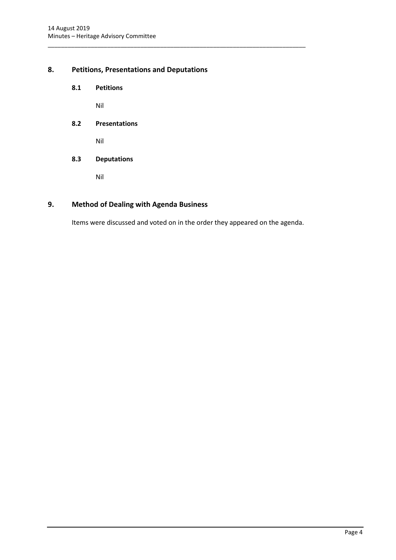### <span id="page-4-1"></span><span id="page-4-0"></span>**8. Petitions, Presentations and Deputations**

**8.1 Petitions**

Nil

<span id="page-4-2"></span>**8.2 Presentations**

Nil

<span id="page-4-3"></span>**8.3 Deputations**

Nil

## <span id="page-4-4"></span>**9. Method of Dealing with Agenda Business**

Items were discussed and voted on in the order they appeared on the agenda.

\_\_\_\_\_\_\_\_\_\_\_\_\_\_\_\_\_\_\_\_\_\_\_\_\_\_\_\_\_\_\_\_\_\_\_\_\_\_\_\_\_\_\_\_\_\_\_\_\_\_\_\_\_\_\_\_\_\_\_\_\_\_\_\_\_\_\_\_\_\_\_\_\_\_\_\_\_\_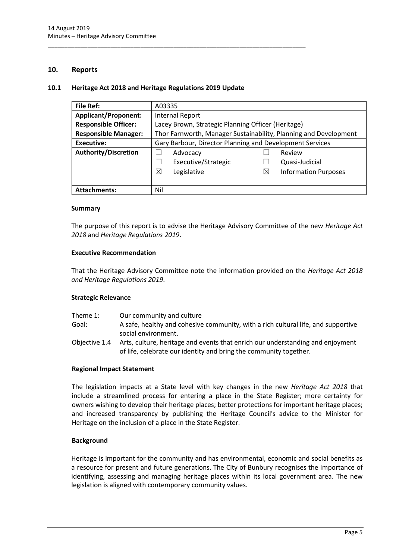#### <span id="page-5-0"></span>**10. Reports**

#### <span id="page-5-1"></span>**10.1 Heritage Act 2018 and Heritage Regulations 2019 Update**

\_\_\_\_\_\_\_\_\_\_\_\_\_\_\_\_\_\_\_\_\_\_\_\_\_\_\_\_\_\_\_\_\_\_\_\_\_\_\_\_\_\_\_\_\_\_\_\_\_\_\_\_\_\_\_\_\_\_\_\_\_\_\_\_\_\_\_\_\_\_\_\_\_\_\_\_\_\_

| <b>File Ref:</b>            | A03335                                                           |          |                             |
|-----------------------------|------------------------------------------------------------------|----------|-----------------------------|
| <b>Applicant/Proponent:</b> | <b>Internal Report</b>                                           |          |                             |
| <b>Responsible Officer:</b> | Lacey Brown, Strategic Planning Officer (Heritage)               |          |                             |
| <b>Responsible Manager:</b> | Thor Farnworth, Manager Sustainability, Planning and Development |          |                             |
| <b>Executive:</b>           | Gary Barbour, Director Planning and Development Services         |          |                             |
| <b>Authority/Discretion</b> | Advocacy                                                         |          | Review                      |
|                             | Executive/Strategic                                              |          | Quasi-Judicial              |
|                             | ⊠<br>Legislative                                                 | $\times$ | <b>Information Purposes</b> |
|                             |                                                                  |          |                             |
| <b>Attachments:</b>         | Nil                                                              |          |                             |

#### **Summary**

The purpose of this report is to advise the Heritage Advisory Committee of the new *Heritage Act 2018* and *Heritage Regulations 2019*.

#### **Executive Recommendation**

That the Heritage Advisory Committee note the information provided on the *Heritage Act 2018 and Heritage Regulations 2019*.

#### **Strategic Relevance**

| Theme 1:      | Our community and culture                                                         |
|---------------|-----------------------------------------------------------------------------------|
| Goal:         | A safe, healthy and cohesive community, with a rich cultural life, and supportive |
|               | social environment.                                                               |
| Objective 1.4 | Arts, culture, heritage and events that enrich our understanding and enjoyment    |
|               | of life, celebrate our identity and bring the community together.                 |

#### **Regional Impact Statement**

The legislation impacts at a State level with key changes in the new *Heritage Act 2018* that include a streamlined process for entering a place in the State Register; more certainty for owners wishing to develop their heritage places; better protections for important heritage places; and increased transparency by publishing the Heritage Council's advice to the Minister for Heritage on the inclusion of a place in the State Register.

#### **Background**

Heritage is important for the community and has environmental, economic and social benefits as a resource for present and future generations. The City of Bunbury recognises the importance of identifying, assessing and managing heritage places within its local government area. The new legislation is aligned with contemporary community values.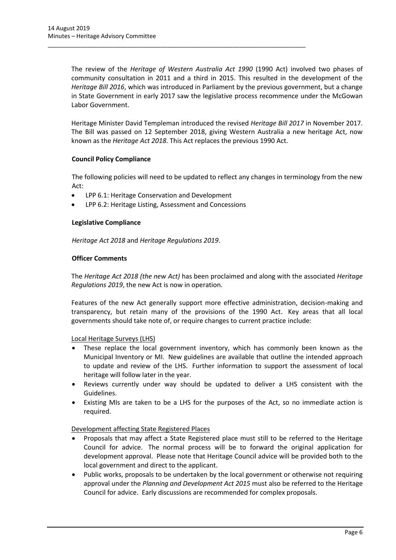The review of the *Heritage of Western Australia Act 1990* (1990 Act) involved two phases of community consultation in 2011 and a third in 2015. This resulted in the development of the *Heritage Bill 2016*, which was introduced in Parliament by the previous government, but a change in State Government in early 2017 saw the legislative process recommence under the McGowan Labor Government.

Heritage Minister David Templeman introduced the revised *[Heritage Bill 2017](http://parliament.wa.gov.au/parliament/bills.nsf/BillProgressPopup?openForm&ParentUNID=629ABF76D4B042F4482581D2000E4B27)* in November 2017. The Bill was passed on 12 September 2018, giving Western Australia a new heritage Act, now known as the *Heritage Act 2018*. This Act replaces the previous 1990 Act.

#### **Council Policy Compliance**

The following policies will need to be updated to reflect any changes in terminology from the new Act:

- LPP 6.1: Heritage Conservation and Development
- LPP 6.2: Heritage Listing, Assessment and Concessions

\_\_\_\_\_\_\_\_\_\_\_\_\_\_\_\_\_\_\_\_\_\_\_\_\_\_\_\_\_\_\_\_\_\_\_\_\_\_\_\_\_\_\_\_\_\_\_\_\_\_\_\_\_\_\_\_\_\_\_\_\_\_\_\_\_\_\_\_\_\_\_\_\_\_\_\_\_\_

#### **Legislative Compliance**

*Heritage Act 2018* and *Heritage Regulations 2019*.

#### **Officer Comments**

The *Heritage Act 2018 (the new Act)* has been proclaimed and along with the associated *Heritage Regulations 2019*, the new Act is now in operation.

Features of the new Act generally support more effective administration, decision-making and transparency, but retain many of the provisions of the 1990 Act. Key areas that all local governments should take note of, or require changes to current practice include:

Local Heritage Surveys (LHS)

- These replace the local government inventory, which has commonly been known as the Municipal Inventory or MI. New guidelines are available that outline the intended approach to update and review of the LHS. Further information to support the assessment of local heritage will follow later in the year.
- Reviews currently under way should be updated to deliver a LHS consistent with the Guidelines.
- Existing MIs are taken to be a LHS for the purposes of the Act, so no immediate action is required.

Development affecting State Registered Places

- Proposals that may affect a State Registered place must still to be referred to the Heritage Council for advice. The normal process will be to forward the original application for development approval. Please note that Heritage Council advice will be provided both to the local government and direct to the applicant.
- Public works, proposals to be undertaken by the local government or otherwise not requiring approval under the *Planning and Development Act 2015* must also be referred to the Heritage Council for advice. Early discussions are recommended for complex proposals.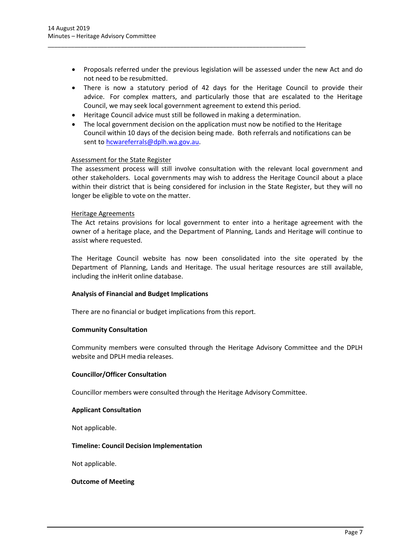- Proposals referred under the previous legislation will be assessed under the new Act and do not need to be resubmitted.
- There is now a statutory period of 42 days for the Heritage Council to provide their advice. For complex matters, and particularly those that are escalated to the Heritage Council, we may seek local government agreement to extend this period.
- Heritage Council advice must still be followed in making a determination.

\_\_\_\_\_\_\_\_\_\_\_\_\_\_\_\_\_\_\_\_\_\_\_\_\_\_\_\_\_\_\_\_\_\_\_\_\_\_\_\_\_\_\_\_\_\_\_\_\_\_\_\_\_\_\_\_\_\_\_\_\_\_\_\_\_\_\_\_\_\_\_\_\_\_\_\_\_\_

 The local government decision on the application must now be notified to the Heritage Council within 10 days of the decision being made. Both referrals and notifications can be sent t[o hcwareferrals@dplh.wa.gov.au.](mailto:hcwareferrals@dplh.wa.gov.au)

#### Assessment for the State Register

The assessment process will still involve consultation with the relevant local government and other stakeholders. Local governments may wish to address the Heritage Council about a place within their district that is being considered for inclusion in the State Register, but they will no longer be eligible to vote on the matter.

#### Heritage Agreements

The Act retains provisions for local government to enter into a heritage agreement with the owner of a heritage place, and the Department of Planning, Lands and Heritage will continue to assist where requested.

The Heritage Council website has now been consolidated into the site operated by the Department of Planning, Lands and Heritage. The usual heritage resources are still available, including the inHerit online database.

#### **Analysis of Financial and Budget Implications**

There are no financial or budget implications from this report.

#### **Community Consultation**

Community members were consulted through the Heritage Advisory Committee and the DPLH website and DPLH media releases.

#### **Councillor/Officer Consultation**

Councillor members were consulted through the Heritage Advisory Committee.

#### **Applicant Consultation**

Not applicable.

#### **Timeline: Council Decision Implementation**

Not applicable.

#### **Outcome of Meeting**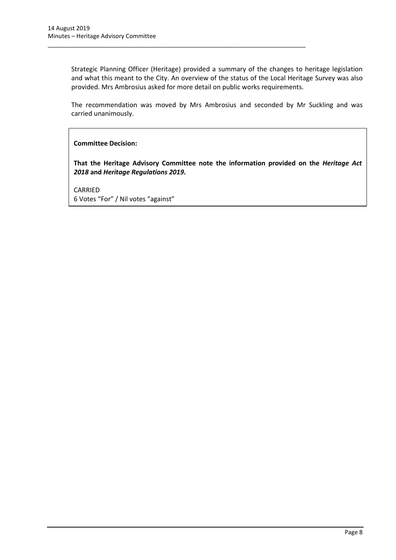Strategic Planning Officer (Heritage) provided a summary of the changes to heritage legislation and what this meant to the City. An overview of the status of the Local Heritage Survey was also provided. Mrs Ambrosius asked for more detail on public works requirements.

\_\_\_\_\_\_\_\_\_\_\_\_\_\_\_\_\_\_\_\_\_\_\_\_\_\_\_\_\_\_\_\_\_\_\_\_\_\_\_\_\_\_\_\_\_\_\_\_\_\_\_\_\_\_\_\_\_\_\_\_\_\_\_\_\_\_\_\_\_\_\_\_\_\_\_\_\_\_

The recommendation was moved by Mrs Ambrosius and seconded by Mr Suckling and was carried unanimously.

**Committee Decision:**

**That the Heritage Advisory Committee note the information provided on the** *Heritage Act 2018* **and** *Heritage Regulations 2019***.**

CARRIED 6 Votes "For" / Nil votes "against"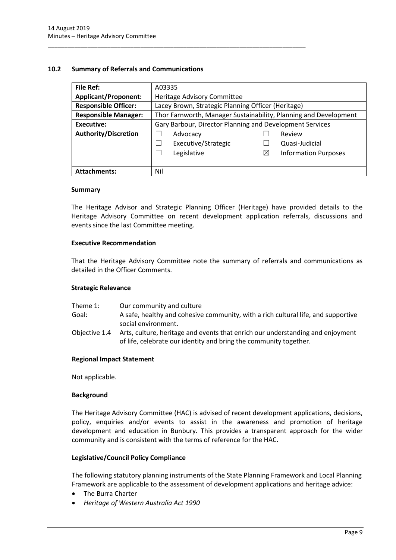#### <span id="page-9-0"></span>**10.2 Summary of Referrals and Communications**

\_\_\_\_\_\_\_\_\_\_\_\_\_\_\_\_\_\_\_\_\_\_\_\_\_\_\_\_\_\_\_\_\_\_\_\_\_\_\_\_\_\_\_\_\_\_\_\_\_\_\_\_\_\_\_\_\_\_\_\_\_\_\_\_\_\_\_\_\_\_\_\_\_\_\_\_\_\_

| <b>File Ref:</b>            | A03335                                                           |             |                             |
|-----------------------------|------------------------------------------------------------------|-------------|-----------------------------|
| <b>Applicant/Proponent:</b> | Heritage Advisory Committee                                      |             |                             |
| <b>Responsible Officer:</b> | Lacey Brown, Strategic Planning Officer (Heritage)               |             |                             |
| <b>Responsible Manager:</b> | Thor Farnworth, Manager Sustainability, Planning and Development |             |                             |
| <b>Executive:</b>           | Gary Barbour, Director Planning and Development Services         |             |                             |
| <b>Authority/Discretion</b> | Advocacy                                                         |             | Review                      |
|                             | Executive/Strategic                                              |             | Quasi-Judicial              |
|                             | Legislative                                                      | $\boxtimes$ | <b>Information Purposes</b> |
|                             |                                                                  |             |                             |
| <b>Attachments:</b>         | Nil                                                              |             |                             |

#### **Summary**

The Heritage Advisor and Strategic Planning Officer (Heritage) have provided details to the Heritage Advisory Committee on recent development application referrals, discussions and events since the last Committee meeting.

#### **Executive Recommendation**

That the Heritage Advisory Committee note the summary of referrals and communications as detailed in the Officer Comments.

#### **Strategic Relevance**

- Theme 1: Our community and culture
- Goal: A safe, healthy and cohesive community, with a rich cultural life, and supportive social environment.
- Objective 1.4 Arts, culture, heritage and events that enrich our understanding and enjoyment of life, celebrate our identity and bring the community together.

#### **Regional Impact Statement**

Not applicable.

#### **Background**

The Heritage Advisory Committee (HAC) is advised of recent development applications, decisions, policy, enquiries and/or events to assist in the awareness and promotion of heritage development and education in Bunbury. This provides a transparent approach for the wider community and is consistent with the terms of reference for the HAC.

#### **Legislative/Council Policy Compliance**

The following statutory planning instruments of the State Planning Framework and Local Planning Framework are applicable to the assessment of development applications and heritage advice:

- The Burra Charter
- *Heritage of Western Australia Act 1990*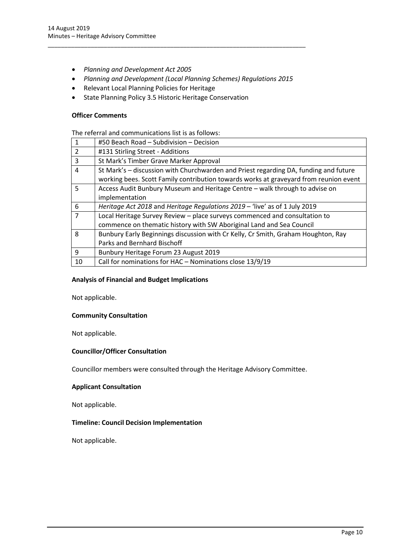- *Planning and Development Act 2005*
- *Planning and Development (Local Planning Schemes) Regulations 2015*

\_\_\_\_\_\_\_\_\_\_\_\_\_\_\_\_\_\_\_\_\_\_\_\_\_\_\_\_\_\_\_\_\_\_\_\_\_\_\_\_\_\_\_\_\_\_\_\_\_\_\_\_\_\_\_\_\_\_\_\_\_\_\_\_\_\_\_\_\_\_\_\_\_\_\_\_\_\_

- Relevant Local Planning Policies for Heritage
- State Planning Policy 3.5 Historic Heritage Conservation

#### **Officer Comments**

The referral and communications list is as follows:

|                | #50 Beach Road - Subdivision - Decision                                               |
|----------------|---------------------------------------------------------------------------------------|
| $\overline{2}$ | #131 Stirling Street - Additions                                                      |
| 3              | St Mark's Timber Grave Marker Approval                                                |
| 4              | St Mark's - discussion with Churchwarden and Priest regarding DA, funding and future  |
|                | working bees. Scott Family contribution towards works at graveyard from reunion event |
| 5.             | Access Audit Bunbury Museum and Heritage Centre - walk through to advise on           |
|                | implementation                                                                        |
| 6              | Heritage Act 2018 and Heritage Regulations 2019 – 'live' as of 1 July 2019            |
| $\overline{7}$ | Local Heritage Survey Review - place surveys commenced and consultation to            |
|                | commence on thematic history with SW Aboriginal Land and Sea Council                  |
| 8              | Bunbury Early Beginnings discussion with Cr Kelly, Cr Smith, Graham Houghton, Ray     |
|                | Parks and Bernhard Bischoff                                                           |
| 9              | Bunbury Heritage Forum 23 August 2019                                                 |
| 10             | Call for nominations for HAC - Nominations close 13/9/19                              |

#### **Analysis of Financial and Budget Implications**

Not applicable.

#### **Community Consultation**

Not applicable.

#### **Councillor/Officer Consultation**

Councillor members were consulted through the Heritage Advisory Committee.

#### **Applicant Consultation**

Not applicable.

#### **Timeline: Council Decision Implementation**

Not applicable.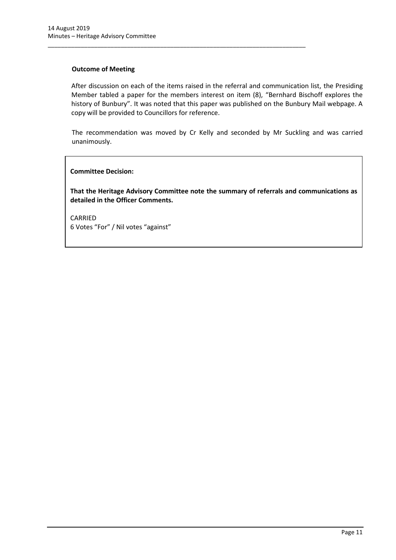#### **Outcome of Meeting**

After discussion on each of the items raised in the referral and communication list, the Presiding Member tabled a paper for the members interest on item (8), "Bernhard Bischoff explores the history of Bunbury". It was noted that this paper was published on the Bunbury Mail webpage. A copy will be provided to Councillors for reference.

\_\_\_\_\_\_\_\_\_\_\_\_\_\_\_\_\_\_\_\_\_\_\_\_\_\_\_\_\_\_\_\_\_\_\_\_\_\_\_\_\_\_\_\_\_\_\_\_\_\_\_\_\_\_\_\_\_\_\_\_\_\_\_\_\_\_\_\_\_\_\_\_\_\_\_\_\_\_

The recommendation was moved by Cr Kelly and seconded by Mr Suckling and was carried unanimously.

#### **Committee Decision:**

**That the Heritage Advisory Committee note the summary of referrals and communications as detailed in the Officer Comments.**

CARRIED 6 Votes "For" / Nil votes "against"